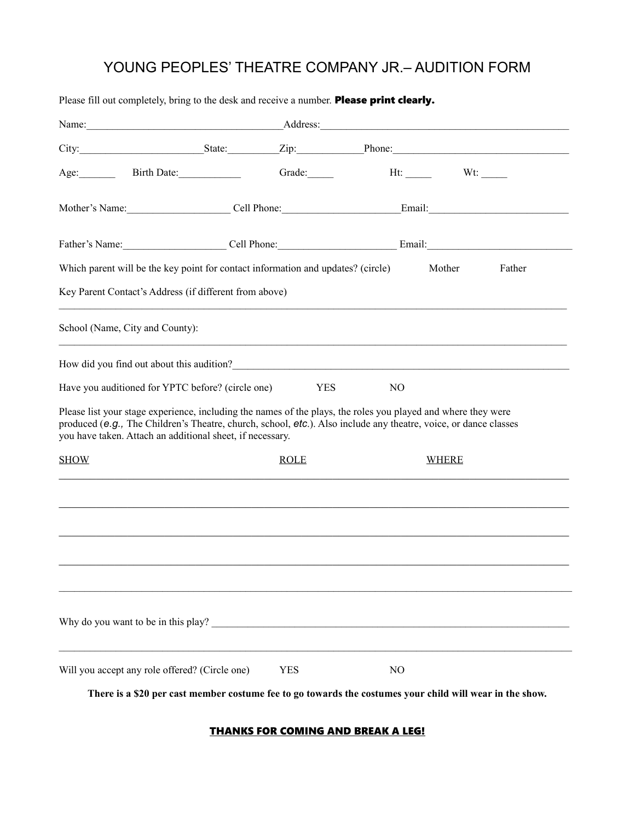# YOUNG PEOPLES' THEATRE COMPANY JR.– AUDITION FORM

| Name: Name:                                                                                                                                                                                                                                                                                      |  |             |                                                                                  |                  |
|--------------------------------------------------------------------------------------------------------------------------------------------------------------------------------------------------------------------------------------------------------------------------------------------------|--|-------------|----------------------------------------------------------------------------------|------------------|
|                                                                                                                                                                                                                                                                                                  |  |             |                                                                                  |                  |
| Age: Birth Date:                                                                                                                                                                                                                                                                                 |  | Grade:      |                                                                                  | $Ht:$ Wt:        |
| Mother's Name: Cell Phone: Cell Phone: Email: Email:                                                                                                                                                                                                                                             |  |             |                                                                                  |                  |
| Father's Name: Cell Phone: Cell Phone: Email: Email:                                                                                                                                                                                                                                             |  |             |                                                                                  |                  |
| Which parent will be the key point for contact information and updates? (circle)                                                                                                                                                                                                                 |  |             |                                                                                  | Mother<br>Father |
| Key Parent Contact's Address (if different from above)                                                                                                                                                                                                                                           |  |             |                                                                                  |                  |
| School (Name, City and County):                                                                                                                                                                                                                                                                  |  |             | ,我们也不能在这里的时候,我们也不能在这里的时候,我们也不能会在这里的时候,我们也不能会在这里的时候,我们也不能会在这里的时候,我们也不能会在这里的时候,我们也 |                  |
| How did you find out about this audition?<br><u>Letter and the contract of the set of the set of the set of the set of the set of the set of the set of the set of the set of the set of the set of the set of the set of the set </u>                                                           |  |             |                                                                                  |                  |
| Have you auditioned for YPTC before? (circle one)                                                                                                                                                                                                                                                |  | <b>YES</b>  | N <sub>O</sub>                                                                   |                  |
| Please list your stage experience, including the names of the plays, the roles you played and where they were<br>produced (e.g., The Children's Theatre, church, school, $etc$ ). Also include any theatre, voice, or dance classes<br>you have taken. Attach an additional sheet, if necessary. |  |             |                                                                                  |                  |
| <b>SHOW</b>                                                                                                                                                                                                                                                                                      |  | <b>ROLE</b> |                                                                                  | <b>WHERE</b>     |
|                                                                                                                                                                                                                                                                                                  |  |             |                                                                                  |                  |
|                                                                                                                                                                                                                                                                                                  |  |             |                                                                                  |                  |
|                                                                                                                                                                                                                                                                                                  |  |             |                                                                                  |                  |
|                                                                                                                                                                                                                                                                                                  |  |             |                                                                                  |                  |
| Why do you want to be in this play?                                                                                                                                                                                                                                                              |  |             |                                                                                  |                  |
| Will you accept any role offered? (Circle one)                                                                                                                                                                                                                                                   |  | <b>YES</b>  | NO                                                                               |                  |

Please fill out completely, bring to the desk and receive a number. Please print clearly.

**There is a \$20 per cast member costume fee to go towards the costumes your child will wear in the show.**

#### **THANKS FOR COMING AND BREAK A LEG!**